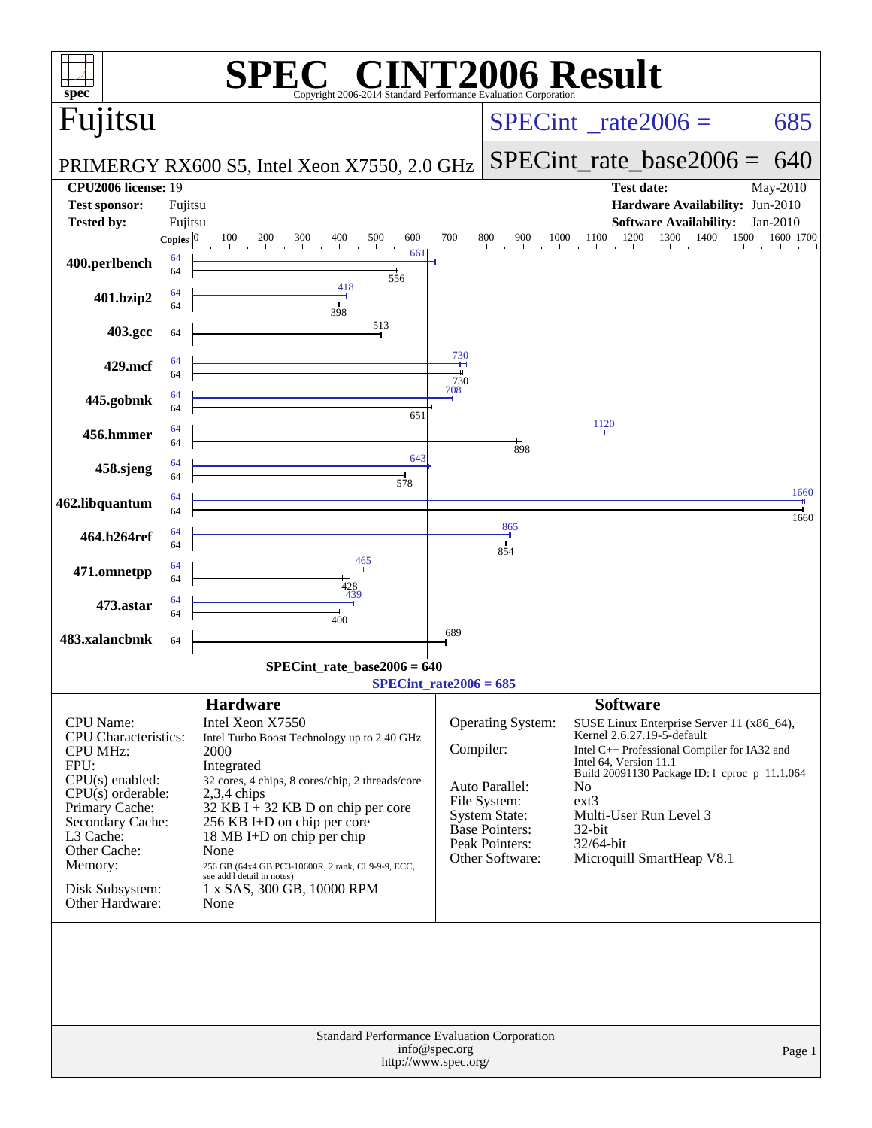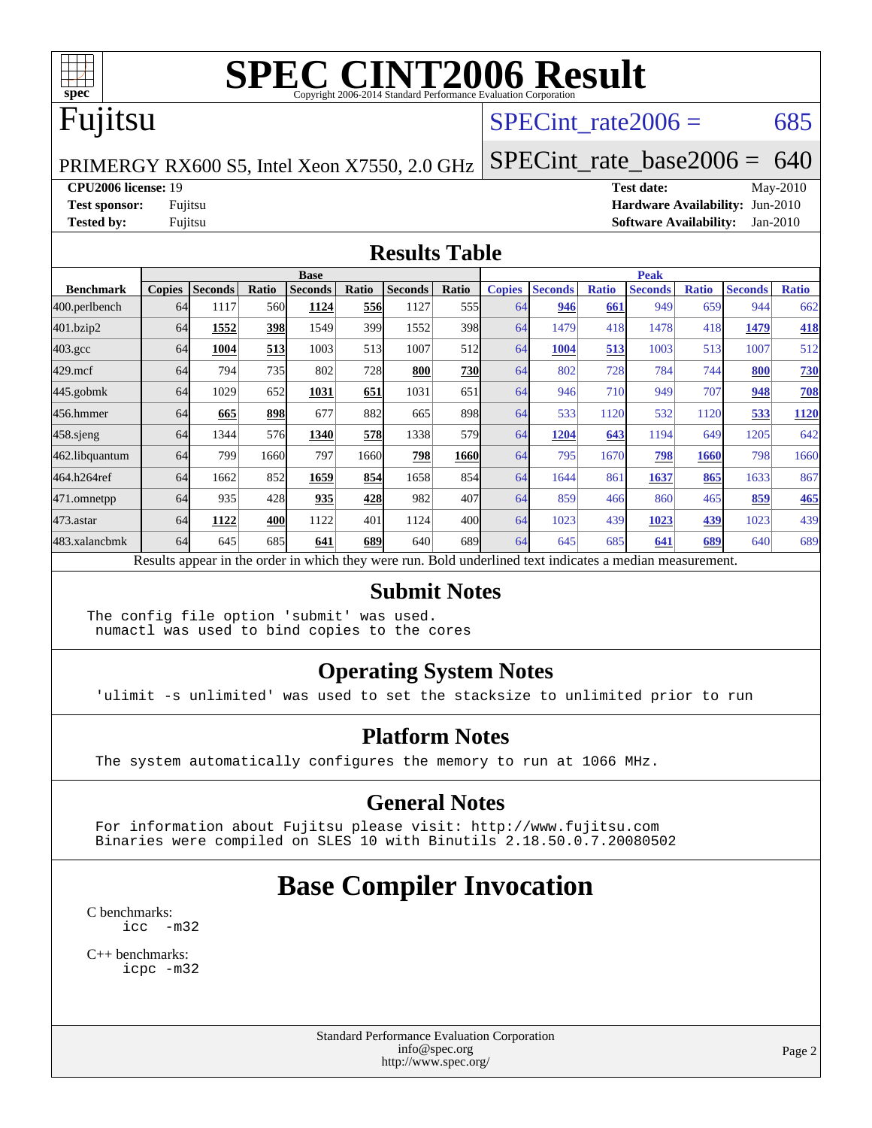

## Fujitsu

#### SPECint rate $2006 = 685$

PRIMERGY RX600 S5, Intel Xeon X7550, 2.0 GHz

[SPECint\\_rate\\_base2006 =](http://www.spec.org/auto/cpu2006/Docs/result-fields.html#SPECintratebase2006) 640

#### **[CPU2006 license:](http://www.spec.org/auto/cpu2006/Docs/result-fields.html#CPU2006license)** 19 **[Test date:](http://www.spec.org/auto/cpu2006/Docs/result-fields.html#Testdate)** May-2010

**[Test sponsor:](http://www.spec.org/auto/cpu2006/Docs/result-fields.html#Testsponsor)** Fujitsu **[Hardware Availability:](http://www.spec.org/auto/cpu2006/Docs/result-fields.html#HardwareAvailability)** Jun-2010 **[Tested by:](http://www.spec.org/auto/cpu2006/Docs/result-fields.html#Testedby)** Fujitsu **[Software Availability:](http://www.spec.org/auto/cpu2006/Docs/result-fields.html#SoftwareAvailability)** Jan-2010

#### **[Results Table](http://www.spec.org/auto/cpu2006/Docs/result-fields.html#ResultsTable)**

|                  | <b>Base</b>   |                |       |                                                                                                          |       |                |                  | <b>Peak</b>   |                |              |                |              |                |              |
|------------------|---------------|----------------|-------|----------------------------------------------------------------------------------------------------------|-------|----------------|------------------|---------------|----------------|--------------|----------------|--------------|----------------|--------------|
| <b>Benchmark</b> | <b>Copies</b> | <b>Seconds</b> | Ratio | <b>Seconds</b>                                                                                           | Ratio | <b>Seconds</b> | Ratio            | <b>Copies</b> | <b>Seconds</b> | <b>Ratio</b> | <b>Seconds</b> | <b>Ratio</b> | <b>Seconds</b> | <b>Ratio</b> |
| 400.perlbench    | 64            | 1117           | 560   | 1124                                                                                                     | 556   | 1127           | 555 <sub>1</sub> | 64            | 946            | 661          | 949            | 659          | 944            | 662          |
| 401.bzip2        | 64            | 1552           | 398   | 1549                                                                                                     | 399   | 1552           | 398              | 64            | 1479           | 418          | 1478           | 418          | 1479           | <b>418</b>   |
| $403.\text{gcc}$ | 64            | 1004           | 513   | 1003                                                                                                     | 513   | 1007           | 512              | 64            | 1004           | 513          | 1003           | 513          | 1007           | 512          |
| $429$ .mcf       | 64            | 794            | 735   | 802                                                                                                      | 728   | 800            | 730              | 64            | 802            | 728          | 784            | 744          | 800            | 730          |
| $445$ .gobmk     | 64            | 1029           | 652   | 1031                                                                                                     | 651   | 1031           | 651              | 64            | 946            | 710          | 949            | 707          | 948            | <b>708</b>   |
| 456.hmmer        | 64            | 665            | 898   | 677                                                                                                      | 882   | 665            | 898              | 64            | 533            | 1120         | 532            | 1120         | 533            | 1120         |
| $458$ .sjeng     | 64            | 1344           | 576   | 1340                                                                                                     | 578   | 1338           | 579              | 64            | 1204           | 643          | 1194           | 649          | 1205           | 642          |
| 462.libquantum   | 64            | 799            | 1660  | 797                                                                                                      | 1660  | 798            | 1660             | 64            | 795            | 1670         | 798            | 1660         | 798            | 1660         |
| 464.h264ref      | 64            | 1662           | 852   | 1659                                                                                                     | 854   | 1658           | 854              | 64            | 1644           | 861          | 1637           | 865          | 1633           | 867          |
| 471.omnetpp      | 64            | 935            | 428   | 935                                                                                                      | 428   | 982            | 407              | 64            | 859            | 466          | 860            | 465          | 859            | 465          |
| $473$ . astar    | 64            | 1122           | 400   | 1122                                                                                                     | 401   | 1124           | 400l             | 64            | 1023           | 439          | 1023           | 439          | 1023           | 439          |
| 483.xalancbmk    | 64            | 645            | 685   | 641                                                                                                      | 689   | 640            | 689I             | 64            | 645            | 685          | 641            | 689          | 640            | 689          |
|                  |               |                |       | Results appear in the order in which they were run. Bold underlined text indicates a median measurement. |       |                |                  |               |                |              |                |              |                |              |

#### **[Submit Notes](http://www.spec.org/auto/cpu2006/Docs/result-fields.html#SubmitNotes)**

The config file option 'submit' was used. numactl was used to bind copies to the cores

#### **[Operating System Notes](http://www.spec.org/auto/cpu2006/Docs/result-fields.html#OperatingSystemNotes)**

'ulimit -s unlimited' was used to set the stacksize to unlimited prior to run

#### **[Platform Notes](http://www.spec.org/auto/cpu2006/Docs/result-fields.html#PlatformNotes)**

The system automatically configures the memory to run at 1066 MHz.

#### **[General Notes](http://www.spec.org/auto/cpu2006/Docs/result-fields.html#GeneralNotes)**

 For information about Fujitsu please visit: <http://www.fujitsu.com> Binaries were compiled on SLES 10 with Binutils 2.18.50.0.7.20080502

## **[Base Compiler Invocation](http://www.spec.org/auto/cpu2006/Docs/result-fields.html#BaseCompilerInvocation)**

[C benchmarks](http://www.spec.org/auto/cpu2006/Docs/result-fields.html#Cbenchmarks): [icc -m32](http://www.spec.org/cpu2006/results/res2010q3/cpu2006-20100702-12061.flags.html#user_CCbase_intel_icc_32bit_5ff4a39e364c98233615fdd38438c6f2)

[C++ benchmarks:](http://www.spec.org/auto/cpu2006/Docs/result-fields.html#CXXbenchmarks) [icpc -m32](http://www.spec.org/cpu2006/results/res2010q3/cpu2006-20100702-12061.flags.html#user_CXXbase_intel_icpc_32bit_4e5a5ef1a53fd332b3c49e69c3330699)

> Standard Performance Evaluation Corporation [info@spec.org](mailto:info@spec.org) <http://www.spec.org/>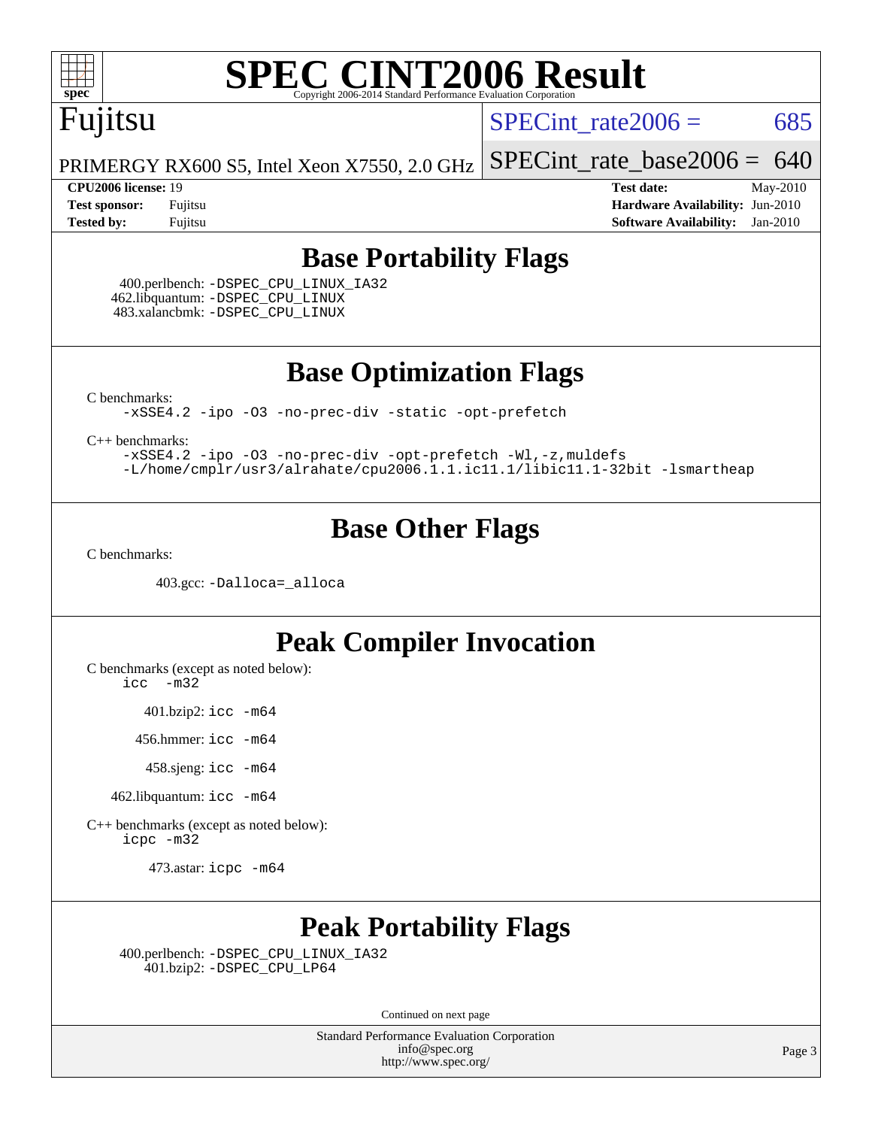# Fujitsu

SPECint rate $2006 = 685$ 

PRIMERGY RX600 S5, Intel Xeon X7550, 2.0 GHz [SPECint\\_rate\\_base2006 =](http://www.spec.org/auto/cpu2006/Docs/result-fields.html#SPECintratebase2006)  $640$ 

**[CPU2006 license:](http://www.spec.org/auto/cpu2006/Docs/result-fields.html#CPU2006license)** 19 **[Test date:](http://www.spec.org/auto/cpu2006/Docs/result-fields.html#Testdate)** May-2010 **[Test sponsor:](http://www.spec.org/auto/cpu2006/Docs/result-fields.html#Testsponsor)** Fujitsu **[Hardware Availability:](http://www.spec.org/auto/cpu2006/Docs/result-fields.html#HardwareAvailability)** Jun-2010 **[Tested by:](http://www.spec.org/auto/cpu2006/Docs/result-fields.html#Testedby)** Fujitsu **[Software Availability:](http://www.spec.org/auto/cpu2006/Docs/result-fields.html#SoftwareAvailability)** Jan-2010

#### **[Base Portability Flags](http://www.spec.org/auto/cpu2006/Docs/result-fields.html#BasePortabilityFlags)**

 400.perlbench: [-DSPEC\\_CPU\\_LINUX\\_IA32](http://www.spec.org/cpu2006/results/res2010q3/cpu2006-20100702-12061.flags.html#b400.perlbench_baseCPORTABILITY_DSPEC_CPU_LINUX_IA32) 462.libquantum: [-DSPEC\\_CPU\\_LINUX](http://www.spec.org/cpu2006/results/res2010q3/cpu2006-20100702-12061.flags.html#b462.libquantum_baseCPORTABILITY_DSPEC_CPU_LINUX) 483.xalancbmk: [-DSPEC\\_CPU\\_LINUX](http://www.spec.org/cpu2006/results/res2010q3/cpu2006-20100702-12061.flags.html#b483.xalancbmk_baseCXXPORTABILITY_DSPEC_CPU_LINUX)

**[Base Optimization Flags](http://www.spec.org/auto/cpu2006/Docs/result-fields.html#BaseOptimizationFlags)**

[C benchmarks](http://www.spec.org/auto/cpu2006/Docs/result-fields.html#Cbenchmarks):

[-xSSE4.2](http://www.spec.org/cpu2006/results/res2010q3/cpu2006-20100702-12061.flags.html#user_CCbase_f-xSSE42_f91528193cf0b216347adb8b939d4107) [-ipo](http://www.spec.org/cpu2006/results/res2010q3/cpu2006-20100702-12061.flags.html#user_CCbase_f-ipo) [-O3](http://www.spec.org/cpu2006/results/res2010q3/cpu2006-20100702-12061.flags.html#user_CCbase_f-O3) [-no-prec-div](http://www.spec.org/cpu2006/results/res2010q3/cpu2006-20100702-12061.flags.html#user_CCbase_f-no-prec-div) [-static](http://www.spec.org/cpu2006/results/res2010q3/cpu2006-20100702-12061.flags.html#user_CCbase_f-static) [-opt-prefetch](http://www.spec.org/cpu2006/results/res2010q3/cpu2006-20100702-12061.flags.html#user_CCbase_f-opt-prefetch)

[C++ benchmarks:](http://www.spec.org/auto/cpu2006/Docs/result-fields.html#CXXbenchmarks)

[-xSSE4.2](http://www.spec.org/cpu2006/results/res2010q3/cpu2006-20100702-12061.flags.html#user_CXXbase_f-xSSE42_f91528193cf0b216347adb8b939d4107) [-ipo](http://www.spec.org/cpu2006/results/res2010q3/cpu2006-20100702-12061.flags.html#user_CXXbase_f-ipo) [-O3](http://www.spec.org/cpu2006/results/res2010q3/cpu2006-20100702-12061.flags.html#user_CXXbase_f-O3) [-no-prec-div](http://www.spec.org/cpu2006/results/res2010q3/cpu2006-20100702-12061.flags.html#user_CXXbase_f-no-prec-div) [-opt-prefetch](http://www.spec.org/cpu2006/results/res2010q3/cpu2006-20100702-12061.flags.html#user_CXXbase_f-opt-prefetch) [-Wl,-z,muldefs](http://www.spec.org/cpu2006/results/res2010q3/cpu2006-20100702-12061.flags.html#user_CXXbase_link_force_multiple1_74079c344b956b9658436fd1b6dd3a8a) [-L/home/cmplr/usr3/alrahate/cpu2006.1.1.ic11.1/libic11.1-32bit -lsmartheap](http://www.spec.org/cpu2006/results/res2010q3/cpu2006-20100702-12061.flags.html#user_CXXbase_SmartHeap_d86dffe4a79b79ef8890d5cce17030c3)

#### **[Base Other Flags](http://www.spec.org/auto/cpu2006/Docs/result-fields.html#BaseOtherFlags)**

[C benchmarks](http://www.spec.org/auto/cpu2006/Docs/result-fields.html#Cbenchmarks):

403.gcc: [-Dalloca=\\_alloca](http://www.spec.org/cpu2006/results/res2010q3/cpu2006-20100702-12061.flags.html#b403.gcc_baseEXTRA_CFLAGS_Dalloca_be3056838c12de2578596ca5467af7f3)

#### **[Peak Compiler Invocation](http://www.spec.org/auto/cpu2006/Docs/result-fields.html#PeakCompilerInvocation)**

[C benchmarks \(except as noted below\)](http://www.spec.org/auto/cpu2006/Docs/result-fields.html#Cbenchmarksexceptasnotedbelow):

[icc -m32](http://www.spec.org/cpu2006/results/res2010q3/cpu2006-20100702-12061.flags.html#user_CCpeak_intel_icc_32bit_5ff4a39e364c98233615fdd38438c6f2)

401.bzip2: [icc -m64](http://www.spec.org/cpu2006/results/res2010q3/cpu2006-20100702-12061.flags.html#user_peakCCLD401_bzip2_intel_icc_64bit_bda6cc9af1fdbb0edc3795bac97ada53)

456.hmmer: [icc -m64](http://www.spec.org/cpu2006/results/res2010q3/cpu2006-20100702-12061.flags.html#user_peakCCLD456_hmmer_intel_icc_64bit_bda6cc9af1fdbb0edc3795bac97ada53)

458.sjeng: [icc -m64](http://www.spec.org/cpu2006/results/res2010q3/cpu2006-20100702-12061.flags.html#user_peakCCLD458_sjeng_intel_icc_64bit_bda6cc9af1fdbb0edc3795bac97ada53)

462.libquantum: [icc -m64](http://www.spec.org/cpu2006/results/res2010q3/cpu2006-20100702-12061.flags.html#user_peakCCLD462_libquantum_intel_icc_64bit_bda6cc9af1fdbb0edc3795bac97ada53)

[C++ benchmarks \(except as noted below\):](http://www.spec.org/auto/cpu2006/Docs/result-fields.html#CXXbenchmarksexceptasnotedbelow) [icpc -m32](http://www.spec.org/cpu2006/results/res2010q3/cpu2006-20100702-12061.flags.html#user_CXXpeak_intel_icpc_32bit_4e5a5ef1a53fd332b3c49e69c3330699)

473.astar: [icpc -m64](http://www.spec.org/cpu2006/results/res2010q3/cpu2006-20100702-12061.flags.html#user_peakCXXLD473_astar_intel_icpc_64bit_fc66a5337ce925472a5c54ad6a0de310)

### **[Peak Portability Flags](http://www.spec.org/auto/cpu2006/Docs/result-fields.html#PeakPortabilityFlags)**

 400.perlbench: [-DSPEC\\_CPU\\_LINUX\\_IA32](http://www.spec.org/cpu2006/results/res2010q3/cpu2006-20100702-12061.flags.html#b400.perlbench_peakCPORTABILITY_DSPEC_CPU_LINUX_IA32) 401.bzip2: [-DSPEC\\_CPU\\_LP64](http://www.spec.org/cpu2006/results/res2010q3/cpu2006-20100702-12061.flags.html#suite_peakCPORTABILITY401_bzip2_DSPEC_CPU_LP64)

Continued on next page

Standard Performance Evaluation Corporation [info@spec.org](mailto:info@spec.org) <http://www.spec.org/>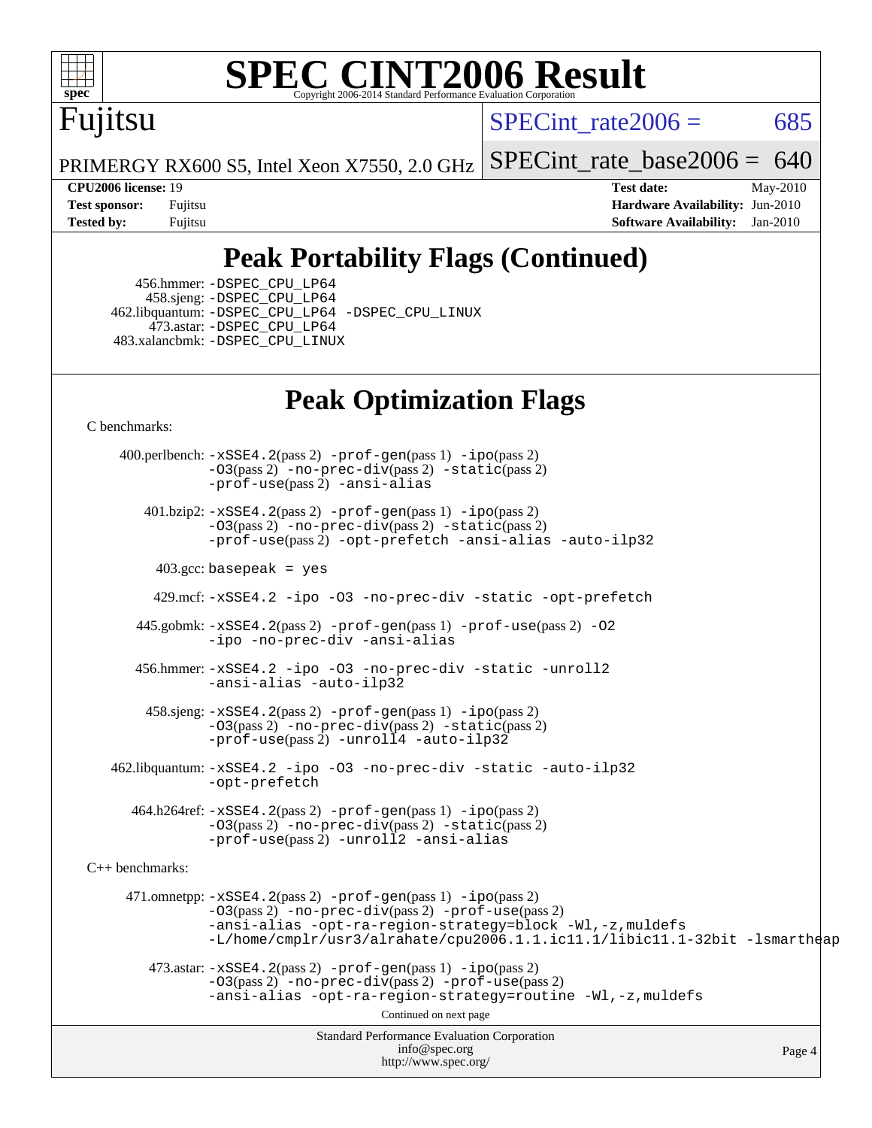

# Fujitsu

SPECint rate $2006 = 685$ 

PRIMERGY RX600 S5, Intel Xeon X7550, 2.0 GHz [SPECint\\_rate\\_base2006 =](http://www.spec.org/auto/cpu2006/Docs/result-fields.html#SPECintratebase2006)  $640$ 

**[CPU2006 license:](http://www.spec.org/auto/cpu2006/Docs/result-fields.html#CPU2006license)** 19 **[Test date:](http://www.spec.org/auto/cpu2006/Docs/result-fields.html#Testdate)** May-2010 **[Test sponsor:](http://www.spec.org/auto/cpu2006/Docs/result-fields.html#Testsponsor)** Fujitsu **[Hardware Availability:](http://www.spec.org/auto/cpu2006/Docs/result-fields.html#HardwareAvailability)** Jun-2010 **[Tested by:](http://www.spec.org/auto/cpu2006/Docs/result-fields.html#Testedby)** Fujitsu **[Software Availability:](http://www.spec.org/auto/cpu2006/Docs/result-fields.html#SoftwareAvailability)** Jan-2010

### **[Peak Portability Flags \(Continued\)](http://www.spec.org/auto/cpu2006/Docs/result-fields.html#PeakPortabilityFlags)**

 456.hmmer: [-DSPEC\\_CPU\\_LP64](http://www.spec.org/cpu2006/results/res2010q3/cpu2006-20100702-12061.flags.html#suite_peakCPORTABILITY456_hmmer_DSPEC_CPU_LP64) 458.sjeng: [-DSPEC\\_CPU\\_LP64](http://www.spec.org/cpu2006/results/res2010q3/cpu2006-20100702-12061.flags.html#suite_peakCPORTABILITY458_sjeng_DSPEC_CPU_LP64) 462.libquantum: [-DSPEC\\_CPU\\_LP64](http://www.spec.org/cpu2006/results/res2010q3/cpu2006-20100702-12061.flags.html#suite_peakCPORTABILITY462_libquantum_DSPEC_CPU_LP64) [-DSPEC\\_CPU\\_LINUX](http://www.spec.org/cpu2006/results/res2010q3/cpu2006-20100702-12061.flags.html#b462.libquantum_peakCPORTABILITY_DSPEC_CPU_LINUX) 473.astar: [-DSPEC\\_CPU\\_LP64](http://www.spec.org/cpu2006/results/res2010q3/cpu2006-20100702-12061.flags.html#suite_peakCXXPORTABILITY473_astar_DSPEC_CPU_LP64) 483.xalancbmk: [-DSPEC\\_CPU\\_LINUX](http://www.spec.org/cpu2006/results/res2010q3/cpu2006-20100702-12061.flags.html#b483.xalancbmk_peakCXXPORTABILITY_DSPEC_CPU_LINUX)

### **[Peak Optimization Flags](http://www.spec.org/auto/cpu2006/Docs/result-fields.html#PeakOptimizationFlags)**

[C benchmarks](http://www.spec.org/auto/cpu2006/Docs/result-fields.html#Cbenchmarks):

Standard Performance Evaluation Corporation [info@spec.org](mailto:info@spec.org) <http://www.spec.org/> Page 4 400.perlbench: [-xSSE4.2](http://www.spec.org/cpu2006/results/res2010q3/cpu2006-20100702-12061.flags.html#user_peakPASS2_CFLAGSPASS2_LDCFLAGS400_perlbench_f-xSSE42_f91528193cf0b216347adb8b939d4107)(pass 2) [-prof-gen](http://www.spec.org/cpu2006/results/res2010q3/cpu2006-20100702-12061.flags.html#user_peakPASS1_CFLAGSPASS1_LDCFLAGS400_perlbench_prof_gen_e43856698f6ca7b7e442dfd80e94a8fc)(pass 1) [-ipo](http://www.spec.org/cpu2006/results/res2010q3/cpu2006-20100702-12061.flags.html#user_peakPASS2_CFLAGSPASS2_LDCFLAGS400_perlbench_f-ipo)(pass 2)  $-03$ (pass 2)  $-$ no-prec-div(pass 2)  $-$ static(pass 2) [-prof-use](http://www.spec.org/cpu2006/results/res2010q3/cpu2006-20100702-12061.flags.html#user_peakPASS2_CFLAGSPASS2_LDCFLAGS400_perlbench_prof_use_bccf7792157ff70d64e32fe3e1250b55)(pass 2) [-ansi-alias](http://www.spec.org/cpu2006/results/res2010q3/cpu2006-20100702-12061.flags.html#user_peakCOPTIMIZE400_perlbench_f-ansi-alias) 401.bzip2: [-xSSE4.2](http://www.spec.org/cpu2006/results/res2010q3/cpu2006-20100702-12061.flags.html#user_peakPASS2_CFLAGSPASS2_LDCFLAGS401_bzip2_f-xSSE42_f91528193cf0b216347adb8b939d4107)(pass 2) [-prof-gen](http://www.spec.org/cpu2006/results/res2010q3/cpu2006-20100702-12061.flags.html#user_peakPASS1_CFLAGSPASS1_LDCFLAGS401_bzip2_prof_gen_e43856698f6ca7b7e442dfd80e94a8fc)(pass 1) [-ipo](http://www.spec.org/cpu2006/results/res2010q3/cpu2006-20100702-12061.flags.html#user_peakPASS2_CFLAGSPASS2_LDCFLAGS401_bzip2_f-ipo)(pass 2) [-O3](http://www.spec.org/cpu2006/results/res2010q3/cpu2006-20100702-12061.flags.html#user_peakPASS2_CFLAGSPASS2_LDCFLAGS401_bzip2_f-O3)(pass 2) [-no-prec-div](http://www.spec.org/cpu2006/results/res2010q3/cpu2006-20100702-12061.flags.html#user_peakPASS2_CFLAGSPASS2_LDCFLAGS401_bzip2_f-no-prec-div)(pass 2) [-static](http://www.spec.org/cpu2006/results/res2010q3/cpu2006-20100702-12061.flags.html#user_peakPASS2_CFLAGSPASS2_LDCFLAGS401_bzip2_f-static)(pass 2) [-prof-use](http://www.spec.org/cpu2006/results/res2010q3/cpu2006-20100702-12061.flags.html#user_peakPASS2_CFLAGSPASS2_LDCFLAGS401_bzip2_prof_use_bccf7792157ff70d64e32fe3e1250b55)(pass 2) [-opt-prefetch](http://www.spec.org/cpu2006/results/res2010q3/cpu2006-20100702-12061.flags.html#user_peakCOPTIMIZE401_bzip2_f-opt-prefetch) [-ansi-alias](http://www.spec.org/cpu2006/results/res2010q3/cpu2006-20100702-12061.flags.html#user_peakCOPTIMIZE401_bzip2_f-ansi-alias) [-auto-ilp32](http://www.spec.org/cpu2006/results/res2010q3/cpu2006-20100702-12061.flags.html#user_peakCOPTIMIZE401_bzip2_f-auto-ilp32)  $403.\text{gcc: basepeak}$  = yes 429.mcf: [-xSSE4.2](http://www.spec.org/cpu2006/results/res2010q3/cpu2006-20100702-12061.flags.html#user_peakCOPTIMIZE429_mcf_f-xSSE42_f91528193cf0b216347adb8b939d4107) [-ipo](http://www.spec.org/cpu2006/results/res2010q3/cpu2006-20100702-12061.flags.html#user_peakCOPTIMIZE429_mcf_f-ipo) [-O3](http://www.spec.org/cpu2006/results/res2010q3/cpu2006-20100702-12061.flags.html#user_peakCOPTIMIZE429_mcf_f-O3) [-no-prec-div](http://www.spec.org/cpu2006/results/res2010q3/cpu2006-20100702-12061.flags.html#user_peakCOPTIMIZE429_mcf_f-no-prec-div) [-static](http://www.spec.org/cpu2006/results/res2010q3/cpu2006-20100702-12061.flags.html#user_peakCOPTIMIZE429_mcf_f-static) [-opt-prefetch](http://www.spec.org/cpu2006/results/res2010q3/cpu2006-20100702-12061.flags.html#user_peakCOPTIMIZE429_mcf_f-opt-prefetch) 445.gobmk: [-xSSE4.2](http://www.spec.org/cpu2006/results/res2010q3/cpu2006-20100702-12061.flags.html#user_peakPASS2_CFLAGSPASS2_LDCFLAGS445_gobmk_f-xSSE42_f91528193cf0b216347adb8b939d4107)(pass 2) [-prof-gen](http://www.spec.org/cpu2006/results/res2010q3/cpu2006-20100702-12061.flags.html#user_peakPASS1_CFLAGSPASS1_LDCFLAGS445_gobmk_prof_gen_e43856698f6ca7b7e442dfd80e94a8fc)(pass 1) [-prof-use](http://www.spec.org/cpu2006/results/res2010q3/cpu2006-20100702-12061.flags.html#user_peakPASS2_CFLAGSPASS2_LDCFLAGS445_gobmk_prof_use_bccf7792157ff70d64e32fe3e1250b55)(pass 2) [-O2](http://www.spec.org/cpu2006/results/res2010q3/cpu2006-20100702-12061.flags.html#user_peakCOPTIMIZE445_gobmk_f-O2) [-ipo](http://www.spec.org/cpu2006/results/res2010q3/cpu2006-20100702-12061.flags.html#user_peakCOPTIMIZE445_gobmk_f-ipo) [-no-prec-div](http://www.spec.org/cpu2006/results/res2010q3/cpu2006-20100702-12061.flags.html#user_peakCOPTIMIZE445_gobmk_f-no-prec-div) [-ansi-alias](http://www.spec.org/cpu2006/results/res2010q3/cpu2006-20100702-12061.flags.html#user_peakCOPTIMIZE445_gobmk_f-ansi-alias) 456.hmmer: [-xSSE4.2](http://www.spec.org/cpu2006/results/res2010q3/cpu2006-20100702-12061.flags.html#user_peakCOPTIMIZE456_hmmer_f-xSSE42_f91528193cf0b216347adb8b939d4107) [-ipo](http://www.spec.org/cpu2006/results/res2010q3/cpu2006-20100702-12061.flags.html#user_peakCOPTIMIZE456_hmmer_f-ipo) [-O3](http://www.spec.org/cpu2006/results/res2010q3/cpu2006-20100702-12061.flags.html#user_peakCOPTIMIZE456_hmmer_f-O3) [-no-prec-div](http://www.spec.org/cpu2006/results/res2010q3/cpu2006-20100702-12061.flags.html#user_peakCOPTIMIZE456_hmmer_f-no-prec-div) [-static](http://www.spec.org/cpu2006/results/res2010q3/cpu2006-20100702-12061.flags.html#user_peakCOPTIMIZE456_hmmer_f-static) [-unroll2](http://www.spec.org/cpu2006/results/res2010q3/cpu2006-20100702-12061.flags.html#user_peakCOPTIMIZE456_hmmer_f-unroll_784dae83bebfb236979b41d2422d7ec2) [-ansi-alias](http://www.spec.org/cpu2006/results/res2010q3/cpu2006-20100702-12061.flags.html#user_peakCOPTIMIZE456_hmmer_f-ansi-alias) [-auto-ilp32](http://www.spec.org/cpu2006/results/res2010q3/cpu2006-20100702-12061.flags.html#user_peakCOPTIMIZE456_hmmer_f-auto-ilp32) 458.sjeng: [-xSSE4.2](http://www.spec.org/cpu2006/results/res2010q3/cpu2006-20100702-12061.flags.html#user_peakPASS2_CFLAGSPASS2_LDCFLAGS458_sjeng_f-xSSE42_f91528193cf0b216347adb8b939d4107)(pass 2) [-prof-gen](http://www.spec.org/cpu2006/results/res2010q3/cpu2006-20100702-12061.flags.html#user_peakPASS1_CFLAGSPASS1_LDCFLAGS458_sjeng_prof_gen_e43856698f6ca7b7e442dfd80e94a8fc)(pass 1) [-ipo](http://www.spec.org/cpu2006/results/res2010q3/cpu2006-20100702-12061.flags.html#user_peakPASS2_CFLAGSPASS2_LDCFLAGS458_sjeng_f-ipo)(pass 2) [-O3](http://www.spec.org/cpu2006/results/res2010q3/cpu2006-20100702-12061.flags.html#user_peakPASS2_CFLAGSPASS2_LDCFLAGS458_sjeng_f-O3)(pass 2) [-no-prec-div](http://www.spec.org/cpu2006/results/res2010q3/cpu2006-20100702-12061.flags.html#user_peakPASS2_CFLAGSPASS2_LDCFLAGS458_sjeng_f-no-prec-div)(pass 2) [-static](http://www.spec.org/cpu2006/results/res2010q3/cpu2006-20100702-12061.flags.html#user_peakPASS2_CFLAGSPASS2_LDCFLAGS458_sjeng_f-static)(pass 2) [-prof-use](http://www.spec.org/cpu2006/results/res2010q3/cpu2006-20100702-12061.flags.html#user_peakPASS2_CFLAGSPASS2_LDCFLAGS458_sjeng_prof_use_bccf7792157ff70d64e32fe3e1250b55)(pass 2) [-unroll4](http://www.spec.org/cpu2006/results/res2010q3/cpu2006-20100702-12061.flags.html#user_peakCOPTIMIZE458_sjeng_f-unroll_4e5e4ed65b7fd20bdcd365bec371b81f) [-auto-ilp32](http://www.spec.org/cpu2006/results/res2010q3/cpu2006-20100702-12061.flags.html#user_peakCOPTIMIZE458_sjeng_f-auto-ilp32) 462.libquantum: [-xSSE4.2](http://www.spec.org/cpu2006/results/res2010q3/cpu2006-20100702-12061.flags.html#user_peakCOPTIMIZE462_libquantum_f-xSSE42_f91528193cf0b216347adb8b939d4107) [-ipo](http://www.spec.org/cpu2006/results/res2010q3/cpu2006-20100702-12061.flags.html#user_peakCOPTIMIZE462_libquantum_f-ipo) [-O3](http://www.spec.org/cpu2006/results/res2010q3/cpu2006-20100702-12061.flags.html#user_peakCOPTIMIZE462_libquantum_f-O3) [-no-prec-div](http://www.spec.org/cpu2006/results/res2010q3/cpu2006-20100702-12061.flags.html#user_peakCOPTIMIZE462_libquantum_f-no-prec-div) [-static](http://www.spec.org/cpu2006/results/res2010q3/cpu2006-20100702-12061.flags.html#user_peakCOPTIMIZE462_libquantum_f-static) [-auto-ilp32](http://www.spec.org/cpu2006/results/res2010q3/cpu2006-20100702-12061.flags.html#user_peakCOPTIMIZE462_libquantum_f-auto-ilp32) [-opt-prefetch](http://www.spec.org/cpu2006/results/res2010q3/cpu2006-20100702-12061.flags.html#user_peakCOPTIMIZE462_libquantum_f-opt-prefetch) 464.h264ref: [-xSSE4.2](http://www.spec.org/cpu2006/results/res2010q3/cpu2006-20100702-12061.flags.html#user_peakPASS2_CFLAGSPASS2_LDCFLAGS464_h264ref_f-xSSE42_f91528193cf0b216347adb8b939d4107)(pass 2) [-prof-gen](http://www.spec.org/cpu2006/results/res2010q3/cpu2006-20100702-12061.flags.html#user_peakPASS1_CFLAGSPASS1_LDCFLAGS464_h264ref_prof_gen_e43856698f6ca7b7e442dfd80e94a8fc)(pass 1) [-ipo](http://www.spec.org/cpu2006/results/res2010q3/cpu2006-20100702-12061.flags.html#user_peakPASS2_CFLAGSPASS2_LDCFLAGS464_h264ref_f-ipo)(pass 2) [-O3](http://www.spec.org/cpu2006/results/res2010q3/cpu2006-20100702-12061.flags.html#user_peakPASS2_CFLAGSPASS2_LDCFLAGS464_h264ref_f-O3)(pass 2) [-no-prec-div](http://www.spec.org/cpu2006/results/res2010q3/cpu2006-20100702-12061.flags.html#user_peakPASS2_CFLAGSPASS2_LDCFLAGS464_h264ref_f-no-prec-div)(pass 2) [-static](http://www.spec.org/cpu2006/results/res2010q3/cpu2006-20100702-12061.flags.html#user_peakPASS2_CFLAGSPASS2_LDCFLAGS464_h264ref_f-static)(pass 2) [-prof-use](http://www.spec.org/cpu2006/results/res2010q3/cpu2006-20100702-12061.flags.html#user_peakPASS2_CFLAGSPASS2_LDCFLAGS464_h264ref_prof_use_bccf7792157ff70d64e32fe3e1250b55)(pass 2) [-unroll2](http://www.spec.org/cpu2006/results/res2010q3/cpu2006-20100702-12061.flags.html#user_peakCOPTIMIZE464_h264ref_f-unroll_784dae83bebfb236979b41d2422d7ec2) [-ansi-alias](http://www.spec.org/cpu2006/results/res2010q3/cpu2006-20100702-12061.flags.html#user_peakCOPTIMIZE464_h264ref_f-ansi-alias) [C++ benchmarks:](http://www.spec.org/auto/cpu2006/Docs/result-fields.html#CXXbenchmarks) 471.omnetpp: [-xSSE4.2](http://www.spec.org/cpu2006/results/res2010q3/cpu2006-20100702-12061.flags.html#user_peakPASS2_CXXFLAGSPASS2_LDCXXFLAGS471_omnetpp_f-xSSE42_f91528193cf0b216347adb8b939d4107)(pass 2) [-prof-gen](http://www.spec.org/cpu2006/results/res2010q3/cpu2006-20100702-12061.flags.html#user_peakPASS1_CXXFLAGSPASS1_LDCXXFLAGS471_omnetpp_prof_gen_e43856698f6ca7b7e442dfd80e94a8fc)(pass 1) [-ipo](http://www.spec.org/cpu2006/results/res2010q3/cpu2006-20100702-12061.flags.html#user_peakPASS2_CXXFLAGSPASS2_LDCXXFLAGS471_omnetpp_f-ipo)(pass 2) [-O3](http://www.spec.org/cpu2006/results/res2010q3/cpu2006-20100702-12061.flags.html#user_peakPASS2_CXXFLAGSPASS2_LDCXXFLAGS471_omnetpp_f-O3)(pass 2) [-no-prec-div](http://www.spec.org/cpu2006/results/res2010q3/cpu2006-20100702-12061.flags.html#user_peakPASS2_CXXFLAGSPASS2_LDCXXFLAGS471_omnetpp_f-no-prec-div)(pass 2) [-prof-use](http://www.spec.org/cpu2006/results/res2010q3/cpu2006-20100702-12061.flags.html#user_peakPASS2_CXXFLAGSPASS2_LDCXXFLAGS471_omnetpp_prof_use_bccf7792157ff70d64e32fe3e1250b55)(pass 2) [-ansi-alias](http://www.spec.org/cpu2006/results/res2010q3/cpu2006-20100702-12061.flags.html#user_peakCXXOPTIMIZE471_omnetpp_f-ansi-alias) [-opt-ra-region-strategy=block](http://www.spec.org/cpu2006/results/res2010q3/cpu2006-20100702-12061.flags.html#user_peakCXXOPTIMIZE471_omnetpp_f-opt-ra-region-strategy-block_a0a37c372d03933b2a18d4af463c1f69) [-Wl,-z,muldefs](http://www.spec.org/cpu2006/results/res2010q3/cpu2006-20100702-12061.flags.html#user_peakEXTRA_LDFLAGS471_omnetpp_link_force_multiple1_74079c344b956b9658436fd1b6dd3a8a) [-L/home/cmplr/usr3/alrahate/cpu2006.1.1.ic11.1/libic11.1-32bit -lsmartheap](http://www.spec.org/cpu2006/results/res2010q3/cpu2006-20100702-12061.flags.html#user_peakEXTRA_LIBS471_omnetpp_SmartHeap_d86dffe4a79b79ef8890d5cce17030c3)  $473.\text{astar: } -xSSE4$ .  $2(\text{pass 2})$   $-\text{prof-gen}(\text{pass 1})$   $-i\text{po}(\text{pass 2})$ [-O3](http://www.spec.org/cpu2006/results/res2010q3/cpu2006-20100702-12061.flags.html#user_peakPASS2_CXXFLAGSPASS2_LDCXXFLAGS473_astar_f-O3)(pass 2) [-no-prec-div](http://www.spec.org/cpu2006/results/res2010q3/cpu2006-20100702-12061.flags.html#user_peakPASS2_CXXFLAGSPASS2_LDCXXFLAGS473_astar_f-no-prec-div)(pass 2) [-prof-use](http://www.spec.org/cpu2006/results/res2010q3/cpu2006-20100702-12061.flags.html#user_peakPASS2_CXXFLAGSPASS2_LDCXXFLAGS473_astar_prof_use_bccf7792157ff70d64e32fe3e1250b55)(pass 2) [-ansi-alias](http://www.spec.org/cpu2006/results/res2010q3/cpu2006-20100702-12061.flags.html#user_peakCXXOPTIMIZE473_astar_f-ansi-alias) [-opt-ra-region-strategy=routine](http://www.spec.org/cpu2006/results/res2010q3/cpu2006-20100702-12061.flags.html#user_peakCXXOPTIMIZE473_astar_f-opt-ra-region-strategy-routine_ba086ea3b1d46a52e1238e2ca173ed44) [-Wl,-z,muldefs](http://www.spec.org/cpu2006/results/res2010q3/cpu2006-20100702-12061.flags.html#user_peakEXTRA_LDFLAGS473_astar_link_force_multiple1_74079c344b956b9658436fd1b6dd3a8a) Continued on next page